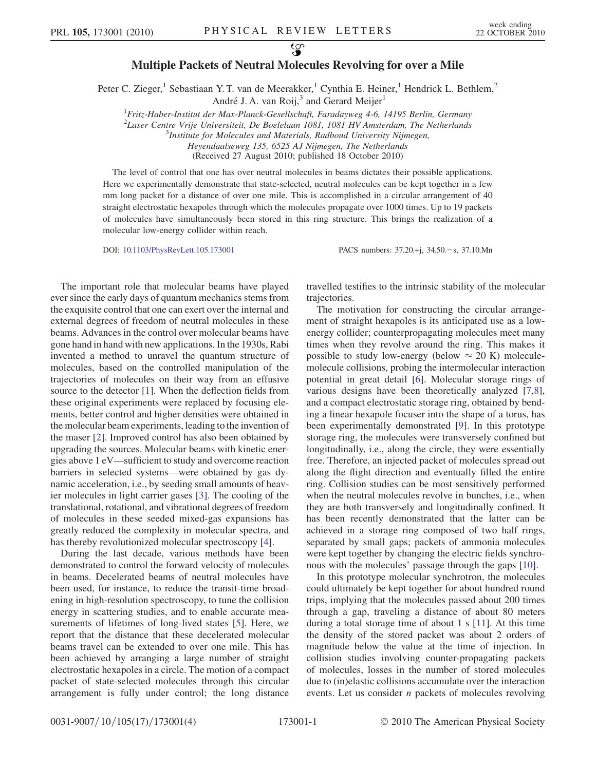## Multiple Packets of Neutral Molecules Revolving for over a Mile

Peter C. Zieger,<sup>1</sup> Sebastiaan Y. T. van de Meerakker,<sup>1</sup> Cynthia E. Heiner,<sup>1</sup> Hendrick L. Bethlem,<sup>2</sup> André J. A. van Roij, $3$  and Gerard Meijer<sup>1</sup>

<sup>1</sup> Fritz-Haber-Institut der Max-Planck-Gesellschaft, Faradayweg 4-6, 14195 Berlin, Germany

<sup>2</sup> Laser Centre Vrije Universiteit, De Boelelaan 1081, 1081 HV Amsterdam, The Netherlands<br><sup>3</sup> Institute for Molecules and Materials, Radboud University Nijmegan

<sup>3</sup>Institute for Molecules and Materials, Radboud University Nijmegen,

Heyendaalseweg 135, 6525 AJ Nijmegen, The Netherlands

(Received 27 August 2010; published 18 October 2010)

The level of control that one has over neutral molecules in beams dictates their possible applications. Here we experimentally demonstrate that state-selected, neutral molecules can be kept together in a few mm long packet for a distance of over one mile. This is accomplished in a circular arrangement of 40 straight electrostatic hexapoles through which the molecules propagate over 1000 times. Up to 19 packets of molecules have simultaneously been stored in this ring structure. This brings the realization of a molecular low-energy collider within reach.

DOI: [10.1103/PhysRevLett.105.173001](http://dx.doi.org/10.1103/PhysRevLett.105.173001) PACS numbers: 37.20.+j, 34.50. -s, 37.10.Mn

The important role that molecular beams have played ever since the early days of quantum mechanics stems from the exquisite control that one can exert over the internal and external degrees of freedom of neutral molecules in these beams. Advances in the control over molecular beams have gone hand in hand with new applications. In the 1930s, Rabi invented a method to unravel the quantum structure of molecules, based on the controlled manipulation of the trajectories of molecules on their way from an effusive source to the detector [\[1](#page-3-0)]. When the deflection fields from these original experiments were replaced by focusing elements, better control and higher densities were obtained in the molecular beam experiments, leading to the invention of the maser [[2](#page-3-1)]. Improved control has also been obtained by upgrading the sources. Molecular beams with kinetic energies above 1 eV—sufficient to study and overcome reaction barriers in selected systems—were obtained by gas dynamic acceleration, i.e., by seeding small amounts of heavier molecules in light carrier gases [\[3\]](#page-3-2). The cooling of the translational, rotational, and vibrational degrees of freedom of molecules in these seeded mixed-gas expansions has greatly reduced the complexity in molecular spectra, and has thereby revolutionized molecular spectroscopy [[4](#page-3-3)].

During the last decade, various methods have been demonstrated to control the forward velocity of molecules in beams. Decelerated beams of neutral molecules have been used, for instance, to reduce the transit-time broadening in high-resolution spectroscopy, to tune the collision energy in scattering studies, and to enable accurate measurements of lifetimes of long-lived states [\[5\]](#page-3-4). Here, we report that the distance that these decelerated molecular beams travel can be extended to over one mile. This has been achieved by arranging a large number of straight electrostatic hexapoles in a circle. The motion of a compact packet of state-selected molecules through this circular arrangement is fully under control; the long distance

travelled testifies to the intrinsic stability of the molecular trajectories.

The motivation for constructing the circular arrangement of straight hexapoles is its anticipated use as a lowenergy collider; counterpropagating molecules meet many times when they revolve around the ring. This makes it possible to study low-energy (below  $\approx 20$  K) moleculemolecule collisions, probing the intermolecular interaction potential in great detail [[6](#page-3-5)]. Molecular storage rings of various designs have been theoretically analyzed [[7](#page-3-6),[8\]](#page-3-7), and a compact electrostatic storage ring, obtained by bending a linear hexapole focuser into the shape of a torus, has been experimentally demonstrated [\[9](#page-3-8)]. In this prototype storage ring, the molecules were transversely confined but longitudinally, i.e., along the circle, they were essentially free. Therefore, an injected packet of molecules spread out along the flight direction and eventually filled the entire ring. Collision studies can be most sensitively performed when the neutral molecules revolve in bunches, i.e., when they are both transversely and longitudinally confined. It has been recently demonstrated that the latter can be achieved in a storage ring composed of two half rings, separated by small gaps; packets of ammonia molecules were kept together by changing the electric fields synchronous with the molecules' passage through the gaps [[10](#page-3-9)].

In this prototype molecular synchrotron, the molecules could ultimately be kept together for about hundred round trips, implying that the molecules passed about 200 times through a gap, traveling a distance of about 80 meters during a total storage time of about 1 s [\[11\]](#page-3-10). At this time the density of the stored packet was about 2 orders of magnitude below the value at the time of injection. In collision studies involving counter-propagating packets of molecules, losses in the number of stored molecules due to (in)elastic collisions accumulate over the interaction events. Let us consider  $n$  packets of molecules revolving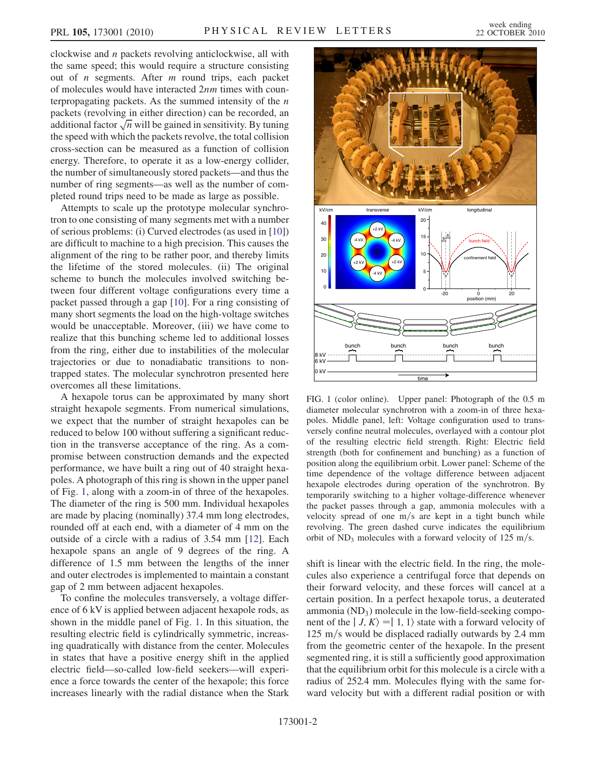clockwise and n packets revolving anticlockwise, all with the same speed; this would require a structure consisting out of  $n$  segments. After  $m$  round trips, each packet of molecules would have interacted 2nm times with counterpropagating packets. As the summed intensity of the  $n$ packets (revolving in either direction) can be recorded, an packets (revolving in either direction) can be recorded, an<br>additional factor  $\sqrt{n}$  will be gained in sensitivity. By tuning the speed with which the packets revolve, the total collision cross-section can be measured as a function of collision energy. Therefore, to operate it as a low-energy collider, the number of simultaneously stored packets—and thus the number of ring segments—as well as the number of completed round trips need to be made as large as possible.

Attempts to scale up the prototype molecular synchrotron to one consisting of many segments met with a number of serious problems: (i) Curved electrodes (as used in [[10](#page-3-9)]) are difficult to machine to a high precision. This causes the alignment of the ring to be rather poor, and thereby limits the lifetime of the stored molecules. (ii) The original scheme to bunch the molecules involved switching between four different voltage configurations every time a packet passed through a gap [\[10\]](#page-3-9). For a ring consisting of many short segments the load on the high-voltage switches would be unacceptable. Moreover, (iii) we have come to realize that this bunching scheme led to additional losses from the ring, either due to instabilities of the molecular trajectories or due to nonadiabatic transitions to nontrapped states. The molecular synchrotron presented here overcomes all these limitations.

A hexapole torus can be approximated by many short straight hexapole segments. From numerical simulations, we expect that the number of straight hexapoles can be reduced to below 100 without suffering a significant reduction in the transverse acceptance of the ring. As a compromise between construction demands and the expected performance, we have built a ring out of 40 straight hexapoles. A photograph of this ring is shown in the upper panel of Fig. [1,](#page-1-0) along with a zoom-in of three of the hexapoles. The diameter of the ring is 500 mm. Individual hexapoles are made by placing (nominally) 37.4 mm long electrodes, rounded off at each end, with a diameter of 4 mm on the outside of a circle with a radius of 3.54 mm [\[12\]](#page-3-11). Each hexapole spans an angle of 9 degrees of the ring. A difference of 1.5 mm between the lengths of the inner and outer electrodes is implemented to maintain a constant gap of 2 mm between adjacent hexapoles.

To confine the molecules transversely, a voltage difference of 6 kV is applied between adjacent hexapole rods, as shown in the middle panel of Fig. [1.](#page-1-0) In this situation, the resulting electric field is cylindrically symmetric, increasing quadratically with distance from the center. Molecules in states that have a positive energy shift in the applied electric field—so-called low-field seekers—will experience a force towards the center of the hexapole; this force increases linearly with the radial distance when the Stark

<span id="page-1-0"></span>

FIG. 1 (color online). Upper panel: Photograph of the 0.5 m diameter molecular synchrotron with a zoom-in of three hexapoles. Middle panel, left: Voltage configuration used to transversely confine neutral molecules, overlayed with a contour plot of the resulting electric field strength. Right: Electric field strength (both for confinement and bunching) as a function of position along the equilibrium orbit. Lower panel: Scheme of the time dependence of the voltage difference between adjacent hexapole electrodes during operation of the synchrotron. By temporarily switching to a higher voltage-difference whenever the packet passes through a gap, ammonia molecules with a velocity spread of one  $m/s$  are kept in a tight bunch while revolving. The green dashed curve indicates the equilibrium orbit of  $ND_3$  molecules with a forward velocity of 125 m/s.

shift is linear with the electric field. In the ring, the molecules also experience a centrifugal force that depends on their forward velocity, and these forces will cancel at a certain position. In a perfect hexapole torus, a deuterated ammonia  $(ND_3)$  molecule in the low-field-seeking component of the  $| J, K \rangle = | 1, 1 \rangle$  state with a forward velocity of 125 m/s would be displaced radially outwards by 2.4 mm from the geometric center of the hexapole. In the present segmented ring, it is still a sufficiently good approximation that the equilibrium orbit for this molecule is a circle with a radius of 252.4 mm. Molecules flying with the same forward velocity but with a different radial position or with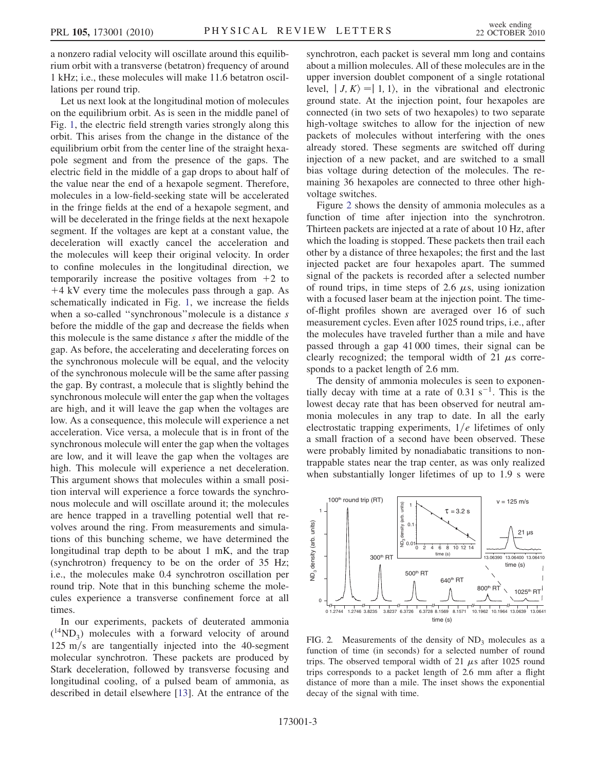a nonzero radial velocity will oscillate around this equilibrium orbit with a transverse (betatron) frequency of around 1 kHz; i.e., these molecules will make 11.6 betatron oscillations per round trip.

Let us next look at the longitudinal motion of molecules on the equilibrium orbit. As is seen in the middle panel of Fig. [1,](#page-1-0) the electric field strength varies strongly along this orbit. This arises from the change in the distance of the equilibrium orbit from the center line of the straight hexapole segment and from the presence of the gaps. The electric field in the middle of a gap drops to about half of the value near the end of a hexapole segment. Therefore, molecules in a low-field-seeking state will be accelerated in the fringe fields at the end of a hexapole segment, and will be decelerated in the fringe fields at the next hexapole segment. If the voltages are kept at a constant value, the deceleration will exactly cancel the acceleration and the molecules will keep their original velocity. In order to confine molecules in the longitudinal direction, we temporarily increase the positive voltages from  $+2$  to  $+4$  kV every time the molecules pass through a gap. As schematically indicated in Fig. [1](#page-1-0), we increase the fields when a so-called ''synchronous''molecule is a distance s before the middle of the gap and decrease the fields when this molecule is the same distance s after the middle of the gap. As before, the accelerating and decelerating forces on the synchronous molecule will be equal, and the velocity of the synchronous molecule will be the same after passing the gap. By contrast, a molecule that is slightly behind the synchronous molecule will enter the gap when the voltages are high, and it will leave the gap when the voltages are low. As a consequence, this molecule will experience a net acceleration. Vice versa, a molecule that is in front of the synchronous molecule will enter the gap when the voltages are low, and it will leave the gap when the voltages are high. This molecule will experience a net deceleration. This argument shows that molecules within a small position interval will experience a force towards the synchronous molecule and will oscillate around it; the molecules are hence trapped in a travelling potential well that revolves around the ring. From measurements and simulations of this bunching scheme, we have determined the longitudinal trap depth to be about 1 mK, and the trap (synchrotron) frequency to be on the order of 35 Hz; i.e., the molecules make 0.4 synchrotron oscillation per round trip. Note that in this bunching scheme the molecules experience a transverse confinement force at all times.

In our experiments, packets of deuterated ammonia  $(^{14}ND_3)$  molecules with a forward velocity of around  $125 \text{ m/s}$  are tangentially injected into the 40-segment molecular synchrotron. These packets are produced by Stark deceleration, followed by transverse focusing and longitudinal cooling, of a pulsed beam of ammonia, as described in detail elsewhere [[13](#page-3-12)]. At the entrance of the synchrotron, each packet is several mm long and contains about a million molecules. All of these molecules are in the upper inversion doublet component of a single rotational level,  $| J, K \rangle = | 1, 1 \rangle$ , in the vibrational and electronic ground state. At the injection point, four hexapoles are connected (in two sets of two hexapoles) to two separate high-voltage switches to allow for the injection of new packets of molecules without interfering with the ones already stored. These segments are switched off during injection of a new packet, and are switched to a small bias voltage during detection of the molecules. The remaining 36 hexapoles are connected to three other highvoltage switches.

Figure [2](#page-2-0) shows the density of ammonia molecules as a function of time after injection into the synchrotron. Thirteen packets are injected at a rate of about 10 Hz, after which the loading is stopped. These packets then trail each other by a distance of three hexapoles; the first and the last injected packet are four hexapoles apart. The summed signal of the packets is recorded after a selected number of round trips, in time steps of 2.6  $\mu$ s, using ionization with a focused laser beam at the injection point. The timeof-flight profiles shown are averaged over 16 of such measurement cycles. Even after 1025 round trips, i.e., after the molecules have traveled further than a mile and have passed through a gap 41 000 times, their signal can be clearly recognized; the temporal width of 21  $\mu$ s corresponds to a packet length of 2.6 mm.

The density of ammonia molecules is seen to exponentially decay with time at a rate of  $0.31 \text{ s}^{-1}$ . This is the lowest decay rate that has been observed for neutral ammonia molecules in any trap to date. In all the early electrostatic trapping experiments,  $1/e$  lifetimes of only a small fraction of a second have been observed. These were probably limited by nonadiabatic transitions to nontrappable states near the trap center, as was only realized when substantially longer lifetimes of up to 1.9 s were

<span id="page-2-0"></span>

FIG. 2. Measurements of the density of  $ND_3$  molecules as a function of time (in seconds) for a selected number of round trips. The observed temporal width of 21  $\mu$ s after 1025 round trips corresponds to a packet length of 2.6 mm after a flight distance of more than a mile. The inset shows the exponential decay of the signal with time.